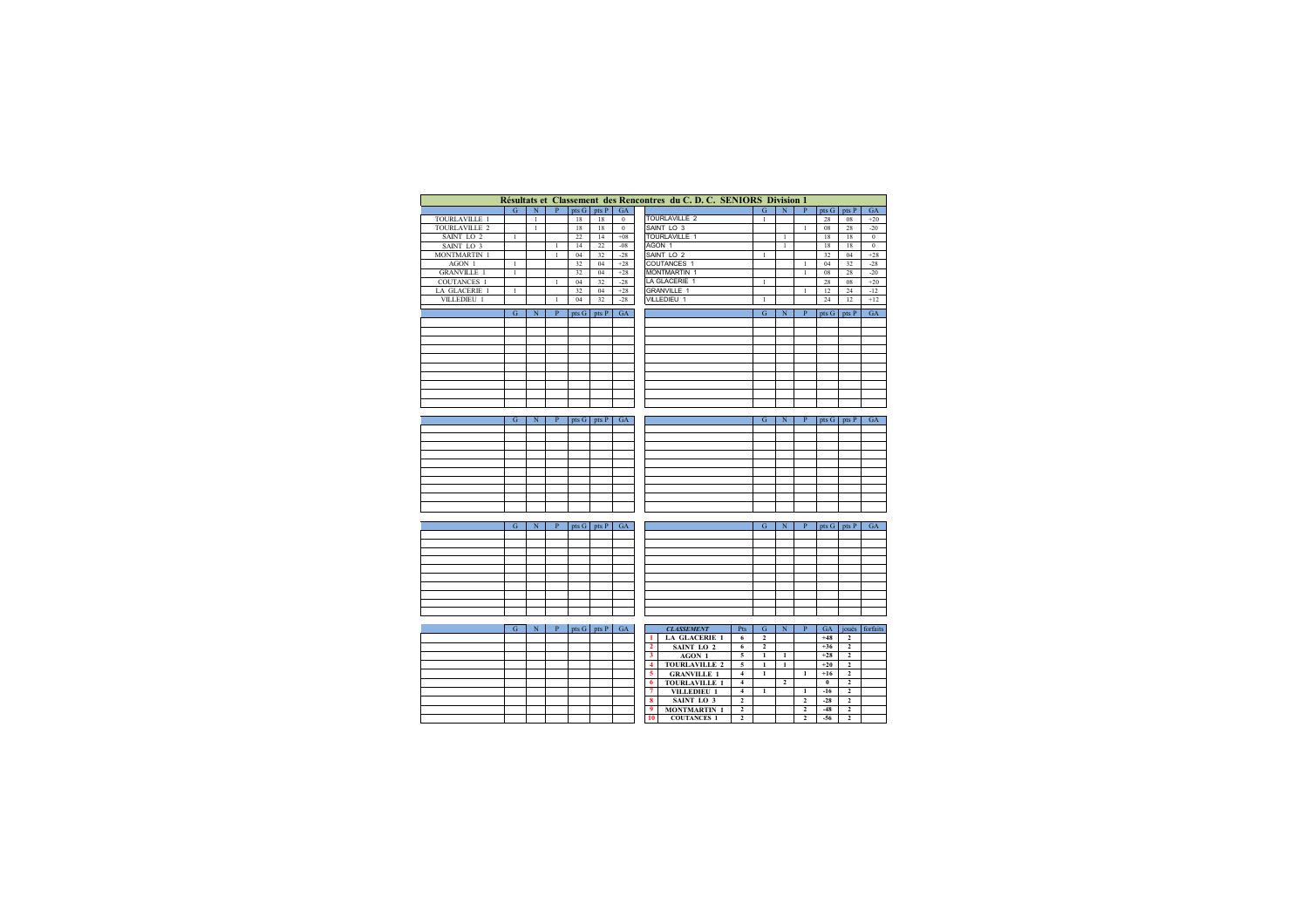|                       |                |                |              |       |                 |              | Résultats et Classement des Rencontres du C. D. C. SENIORS Division 1 |                |                |                |                |          |                         |              |
|-----------------------|----------------|----------------|--------------|-------|-----------------|--------------|-----------------------------------------------------------------------|----------------|----------------|----------------|----------------|----------|-------------------------|--------------|
|                       | $\overline{G}$ | $\overline{N}$ | $\mathbf{P}$ | pts G | pts P           | GA           |                                                                       |                | ${\bf G}$      | $\overline{N}$ | $\mathbf{p}$   | pts G    | pts P                   | GA           |
| TOURLAVILLE 1         |                | $\mathbf{1}$   |              | 18    | 18              | $\,$ 0 $\,$  | <b>TOURLAVILLE 2</b>                                                  |                | $\mathbf{1}$   |                |                | 28       | $08\,$                  | $+20$        |
| TOURLAVILLE 2         |                | $\mathbf{1}$   |              | 18    | 18              | $\mathbf{0}$ | SAINT LO 3                                                            |                |                |                | $\mathbf{1}$   | 08       | 28                      | $-20$        |
| SAINT LO 2            | $\mathbf{1}$   |                |              | 22    | 14              | $+08$        | TOURLAVILLE 1                                                         |                |                | $\mathbf{1}$   |                | 18       | 18                      | $\mathbf{0}$ |
| SAINT LO <sub>3</sub> |                |                | $\mathbf{1}$ | 14    | 22              | $-08$        | AGON 1                                                                |                |                | $\mathbf{1}$   |                | 18       | 18                      | $\,0\,$      |
|                       |                |                | $\mathbf{1}$ | 04    | 32              |              | SAINT LO 2                                                            |                | $\mathbf{1}$   |                |                | 32       | 04                      | $+28$        |
| MONTMARTIN 1          |                |                |              |       |                 | $-28$        |                                                                       |                |                |                |                |          |                         |              |
| AGON 1                | $\mathbf{1}$   |                |              | 32    | 04              | $+28$        | COUTANCES 1                                                           |                |                |                | $\mathbf{1}$   | 04       | 32                      | $-28$        |
| <b>GRANVILLE 1</b>    | $\mathbf{1}$   |                |              | 32    | 04              | $+28$        | <b>MONTMARTIN 1</b>                                                   |                |                |                | $\mathbf{1}$   | 08       | 28                      | $-20$        |
| <b>COUTANCES 1</b>    |                |                | $\mathbf{1}$ | 04    | 32              | $-28$        | LA GLACERIE 1                                                         |                | $\mathbf{1}$   |                |                | 28       | 08                      | $+20$        |
| LA GLACERIE 1         | $\mathbf{1}$   |                |              | 32    | 04              | $+28$        | GRANVILLE 1                                                           |                |                |                | $\mathbf{1}$   | 12       | 24                      | $-12$        |
| VILLEDIEU 1           |                |                | $\mathbf{1}$ | 04    | 32              | $-28$        | VILLEDIEU 1                                                           |                | $\mathbf{1}$   |                |                | 24       | 12                      | $+12$        |
|                       | G.             | N              | P            |       |                 | GA           |                                                                       |                | G.             | $\overline{N}$ | P              |          |                         | <b>GA</b>    |
|                       |                |                |              |       | $pts G$ pts $P$ |              |                                                                       |                |                |                |                | pts G    | pts P                   |              |
|                       |                |                |              |       |                 |              |                                                                       |                |                |                |                |          |                         |              |
|                       |                |                |              |       |                 |              |                                                                       |                |                |                |                |          |                         |              |
|                       |                |                |              |       |                 |              |                                                                       |                |                |                |                |          |                         |              |
|                       |                |                |              |       |                 |              |                                                                       |                |                |                |                |          |                         |              |
|                       |                |                |              |       |                 |              |                                                                       |                |                |                |                |          |                         |              |
|                       |                |                |              |       |                 |              |                                                                       |                |                |                |                |          |                         |              |
|                       |                |                |              |       |                 |              |                                                                       |                |                |                |                |          |                         |              |
|                       |                |                |              |       |                 |              |                                                                       |                |                |                |                |          |                         |              |
|                       |                |                |              |       |                 |              |                                                                       |                |                |                |                |          |                         |              |
|                       |                |                |              |       |                 |              |                                                                       |                |                |                |                |          |                         |              |
|                       |                |                |              |       |                 |              |                                                                       |                |                |                |                |          |                         |              |
|                       | G              | N              | P            |       |                 |              |                                                                       |                | G              | N              | P              |          |                         | GA           |
|                       |                |                |              |       | $pts G$ pts P   | GA           |                                                                       |                |                |                |                | pts G    | pts P                   |              |
|                       |                |                |              |       |                 |              |                                                                       |                |                |                |                |          |                         |              |
|                       |                |                |              |       |                 |              |                                                                       |                |                |                |                |          |                         |              |
|                       |                |                |              |       |                 |              |                                                                       |                |                |                |                |          |                         |              |
|                       |                |                |              |       |                 |              |                                                                       |                |                |                |                |          |                         |              |
|                       |                |                |              |       |                 |              |                                                                       |                |                |                |                |          |                         |              |
|                       |                |                |              |       |                 |              |                                                                       |                |                |                |                |          |                         |              |
|                       |                |                |              |       |                 |              |                                                                       |                |                |                |                |          |                         |              |
|                       |                |                |              |       |                 |              |                                                                       |                |                |                |                |          |                         |              |
|                       |                |                |              |       |                 |              |                                                                       |                |                |                |                |          |                         |              |
|                       |                |                |              |       |                 |              |                                                                       |                |                |                |                |          |                         |              |
|                       |                |                |              |       |                 |              |                                                                       |                |                |                |                |          |                         |              |
|                       | ${\bf G}$      | ${\bf N}$      | P            |       | $pts G$ pts $P$ | GA           |                                                                       |                | G              | $\mathbf N$    | P              |          | $pts G$ pts $P$         | GA           |
|                       |                |                |              |       |                 |              |                                                                       |                |                |                |                |          |                         |              |
|                       |                |                |              |       |                 |              |                                                                       |                |                |                |                |          |                         |              |
|                       |                |                |              |       |                 |              |                                                                       |                |                |                |                |          |                         |              |
|                       |                |                |              |       |                 |              |                                                                       |                |                |                |                |          |                         |              |
|                       |                |                |              |       |                 |              |                                                                       |                |                |                |                |          |                         |              |
|                       |                |                |              |       |                 |              |                                                                       |                |                |                |                |          |                         |              |
|                       |                |                |              |       |                 |              |                                                                       |                |                |                |                |          |                         |              |
|                       |                |                |              |       |                 |              |                                                                       |                |                |                |                |          |                         |              |
|                       |                |                |              |       |                 |              |                                                                       |                |                |                |                |          |                         |              |
|                       |                |                |              |       |                 |              |                                                                       |                |                |                |                |          |                         |              |
|                       |                |                |              |       |                 |              |                                                                       |                |                |                |                |          |                         |              |
|                       |                |                |              |       |                 |              |                                                                       |                |                |                |                |          |                         |              |
|                       | G              | $\mathbf N$    | P            |       | pts G pts P     | GA           | <b>CLASSEMENT</b>                                                     | Pts            | G              | $_{\rm N}$     | $\, {\bf P}$   | GA       | joués                   | forfaits     |
|                       |                |                |              |       |                 |              | <b>LA GLACERIE 1</b><br>$\mathbf{I}$                                  | 6              | $\overline{2}$ |                |                | $+48$    | $\overline{2}$          |              |
|                       |                |                |              |       |                 |              | $\mathbf{2}$<br>SAINT LO 2                                            | 6              | $\overline{2}$ |                |                | $+36$    | $\overline{2}$          |              |
|                       |                |                |              |       |                 |              | 3<br>AGON 1                                                           | 5              | $\mathbf{1}$   | $\mathbf{1}$   |                | $+28$    | $\overline{2}$          |              |
|                       |                |                |              |       |                 |              | 4<br><b>TOURLAVILLE 2</b>                                             | 5              | $\mathbf 1$    | $\mathbf{1}$   |                | $+20$    | $\overline{2}$          |              |
|                       |                |                |              |       |                 |              | 5<br><b>GRANVILLE 1</b>                                               | $\overline{4}$ | $\mathbf{1}$   |                | $\mathbf 1$    | $+16$    | $\overline{2}$          |              |
|                       |                |                |              |       |                 |              | 6<br><b>TOURLAVILLE 1</b>                                             | $\overline{4}$ |                | $\overline{2}$ |                | $\bf{0}$ | $\overline{2}$          |              |
|                       |                |                |              |       |                 |              | $\overline{\tau}$<br>VILLEDIEU 1                                      | $\overline{4}$ | $\mathbf{1}$   |                | $\mathbf{1}$   | $-16$    | $\overline{2}$          |              |
|                       |                |                |              |       |                 |              | 8                                                                     | $\mathbf{2}$   |                |                |                | $-28$    | $\overline{\mathbf{c}}$ |              |
|                       |                |                |              |       |                 |              | SAINT LO <sub>3</sub>                                                 |                |                |                | $\mathbf 2$    |          |                         |              |
|                       |                |                |              |       |                 |              | 9<br><b>MONTMARTIN 1</b>                                              | $\overline{2}$ |                |                | $\overline{2}$ | $-48$    | $\overline{2}$          |              |
|                       |                |                |              |       |                 |              | 10<br><b>COUTANCES 1</b>                                              | $\mathbf{2}$   |                |                | 2              | $-56$    | $\mathbf{2}$            |              |
|                       |                |                |              |       |                 |              |                                                                       |                |                |                |                |          |                         |              |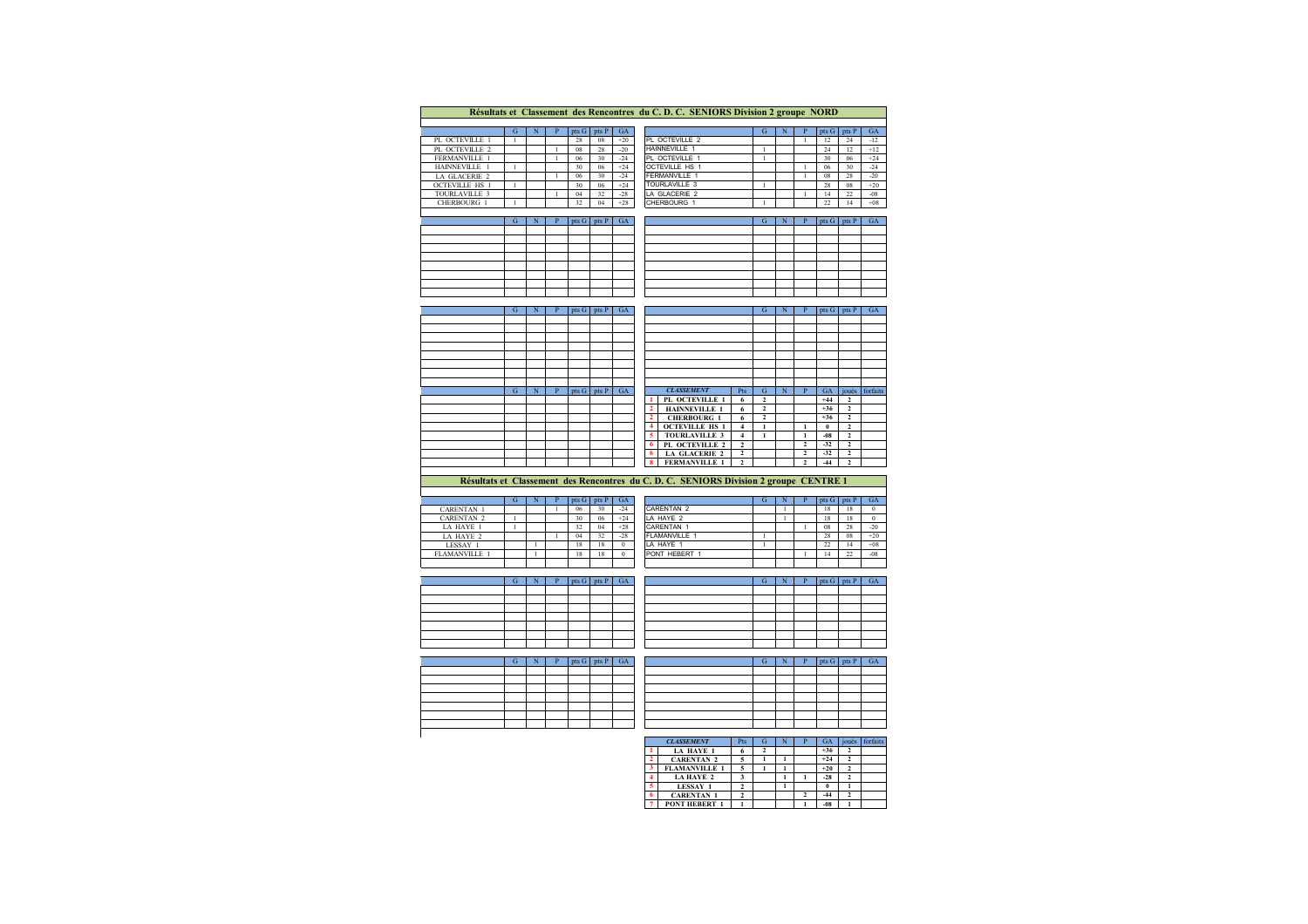|                       |              |             |                |       |       |           | Résultats et Classement des Rencontres du C. D. C. SENIORS Division 2 groupe NORD     |                |              |                |              |                         |              |
|-----------------------|--------------|-------------|----------------|-------|-------|-----------|---------------------------------------------------------------------------------------|----------------|--------------|----------------|--------------|-------------------------|--------------|
|                       |              |             |                |       |       |           |                                                                                       |                |              |                |              |                         |              |
|                       | G            | N           | $\mathbf{p}$   | pts G | pts P | GA        |                                                                                       | G              | N            | $\mathbf{p}$   | pts G        | pts P                   | GA           |
| PL OCTEVILLE 1        | $\mathbf{1}$ |             |                | 28    | 08    | $+20$     | PL OCTEVILLE 2                                                                        |                |              | $\mathbf{1}$   | 12           | 24                      | $-12$        |
| PL OCTEVILLE 2        |              |             | $\mathbf{1}$   | 08    | 28    | $-20$     | <b>HAINNEVILLE 1</b>                                                                  | $\mathbf{1}$   |              |                | 24           | 12                      | $+12$        |
| FERMANVILLE 1         |              |             | $\mathbf{1}$   | 06    | 30    | $-24$     | PL OCTEVILLE 1                                                                        | $\mathbf{1}$   |              |                | 30           | 06                      | $+24$        |
| HAINNEVILLE 1         | $\mathbf{1}$ |             |                | 30    | 06    | $+24$     | <b>OCTEVILLE HS 1</b>                                                                 |                |              | $\overline{1}$ | 06           | 30                      | $-24$        |
| LA GLACERIE 2         |              |             | $\mathbf{1}$   | 06    | 30    | $-24$     | FERMANVILLE 1                                                                         |                |              | 1              | 08           | 28                      | $-20$        |
| <b>OCTEVILLE HS 1</b> | $\mathbf{1}$ |             |                | 30    | 06    | $+24$     | TOURLAVILLE 3                                                                         | $\mathbf{1}$   |              |                | 28           | 08                      | $+20$        |
| TOURLAVILLE 3         |              |             | $\mathbf{1}$   | 04    | 32    | $-28$     | LA GLACERIE 2                                                                         |                |              | $\mathbf{1}$   | 14           | 22                      | $-08$        |
| <b>CHERBOURG 1</b>    | 1            |             |                | 32    | 04    | $+28$     | CHERBOURG 1                                                                           | 1              |              |                | 22           | 14                      | $+08$        |
|                       |              |             |                |       |       |           |                                                                                       |                |              |                |              |                         |              |
|                       | G            | N           | $\overline{P}$ | pts G | pts P | GA        |                                                                                       | G              | N            | $\mathbf{P}$   | pts G        | pts P                   | GA           |
|                       |              |             |                |       |       |           |                                                                                       |                |              |                |              |                         |              |
|                       |              |             |                |       |       |           |                                                                                       |                |              |                |              |                         |              |
|                       |              |             |                |       |       |           |                                                                                       |                |              |                |              |                         |              |
|                       |              |             |                |       |       |           |                                                                                       |                |              |                |              |                         |              |
|                       |              |             |                |       |       |           |                                                                                       |                |              |                |              |                         |              |
|                       |              |             |                |       |       |           |                                                                                       |                |              |                |              |                         |              |
|                       |              |             |                |       |       |           |                                                                                       |                |              |                |              |                         |              |
|                       |              |             |                |       |       |           |                                                                                       |                |              |                |              |                         |              |
|                       |              |             |                |       |       |           |                                                                                       |                |              |                |              |                         |              |
|                       | G            | N           | $\mathbf{P}$   | pts G | pts P | <b>GA</b> |                                                                                       | G.             | N            | $\mathbf{P}$   | pts G        | pts P                   | GA           |
|                       |              |             |                |       |       |           |                                                                                       |                |              |                |              |                         |              |
|                       |              |             |                |       |       |           |                                                                                       |                |              |                |              |                         |              |
|                       |              |             |                |       |       |           |                                                                                       |                |              |                |              |                         |              |
|                       |              |             |                |       |       |           |                                                                                       |                |              |                |              |                         |              |
|                       |              |             |                |       |       |           |                                                                                       |                |              |                |              |                         |              |
|                       |              |             |                |       |       |           |                                                                                       |                |              |                |              |                         |              |
|                       |              |             |                |       |       |           |                                                                                       |                |              |                |              |                         |              |
|                       |              |             |                |       |       |           |                                                                                       |                |              |                |              |                         |              |
|                       | G            | $\mathbf N$ | $\overline{P}$ | pts G | pts P | <b>GA</b> | <b>CLASSEMENT</b><br>Pts                                                              | $\mathbf G$    | $\mathbf N$  | $\mathbf{P}$   | <b>GA</b>    | joués                   | forfaits     |
|                       |              |             |                |       |       |           | PL OCTEVILLE 1<br>6<br>1                                                              | $\overline{2}$ |              |                | $+44$        | $\overline{\mathbf{c}}$ |              |
|                       |              |             |                |       |       |           | <b>HAINNEVILLE 1</b><br>$\overline{2}$<br>6                                           | $\overline{2}$ |              |                | $+36$        | $\overline{2}$          |              |
|                       |              |             |                |       |       |           | $\mathbf{2}$<br><b>CHERBOURG 1</b><br>6                                               | $\overline{2}$ |              |                | $+36$        | $\overline{2}$          |              |
|                       |              |             |                |       |       |           | <b>OCTEVILLE HS 1</b><br>4<br>$\overline{\mathbf{4}}$                                 | $\mathbf{1}$   |              | $\mathbf{1}$   | $\mathbf{0}$ | $\overline{2}$          |              |
|                       |              |             |                |       |       |           | 5<br><b>TOURLAVILLE 3</b><br>$\overline{4}$                                           | $\mathbf{1}$   |              | $\mathbf{1}$   | $-08$        | $\overline{a}$          |              |
|                       |              |             |                |       |       |           | PL OCTEVILLE 2<br>6<br>$\overline{2}$                                                 |                |              | $\overline{2}$ | $-32$        | $\overline{a}$          |              |
|                       |              |             |                |       |       |           | $\overline{2}$<br>6<br><b>LA GLACERIE 2</b>                                           |                |              | $\overline{2}$ | $-32$        | $\overline{2}$          |              |
|                       |              |             |                |       |       |           | 8<br><b>FERMANVILLE 1</b><br>$\overline{2}$                                           |                |              | $\overline{2}$ | $-44$        | $\overline{a}$          |              |
|                       |              |             |                |       |       |           |                                                                                       |                |              |                |              |                         |              |
|                       |              |             |                |       |       |           | Résultats et Classement des Rencontres du C. D. C. SENIORS Division 2 groupe CENTRE 1 |                |              |                |              |                         |              |
|                       |              |             |                |       |       |           |                                                                                       |                |              |                |              |                         |              |
|                       | G            | N           | $\mathbf{P}$   | pts G | pts P | GA        |                                                                                       | G              | N            | $\mathbf{p}$   | pts G        | pts P                   | GA           |
| <b>CARENTAN 1</b>     |              |             | $\overline{1}$ | 06    | 30    | $-24$     | <b>CARENTAN 2</b>                                                                     |                | $\mathbf{1}$ |                | 18           | 18                      | $\mathbf{0}$ |
| CARENTAN <sub>2</sub> |              |             |                | 30    | 06    | $+24$     | I A HAYF 2                                                                            |                | $\mathbf{1}$ |                | 18           | 18                      | $\theta$     |

| <b>CARENTAN 1</b>    |  | 06 | 30 | $-24$ | Ċ |
|----------------------|--|----|----|-------|---|
| <b>CARENTAN 2</b>    |  | 30 | 06 | $+24$ | Ц |
| LA HAYE 1            |  | 32 | 04 | $+28$ | C |
| LA HAYE 2            |  | 04 | 32 | $-28$ | F |
| LESSAY 1             |  | 18 | 18 |       |   |
| <b>FLAMANVILLE 1</b> |  | 18 | 18 |       | Þ |
|                      |  |    |    |       |   |

|      | u |  | pts G | pts. | GA    |                       | N | pts G          | <b>pts</b> | GA    |
|------|---|--|-------|------|-------|-----------------------|---|----------------|------------|-------|
|      |   |  | 06    | 30   | $-24$ | CARENTAN <sub>2</sub> |   | 18             | 18         |       |
|      |   |  | 30    | 06   | $+24$ | LA HAYE 2             |   | 18             | 18         |       |
|      |   |  | 32    | 04   | $+28$ | CARENTAN 1            |   | 08             | 28         | $-20$ |
|      |   |  | 04    | 32   | $-28$ | <b>FLAMANVILLE</b>    |   | 28             | 08         | $+20$ |
|      |   |  | 18    | 18   |       | LA HAYE 1             |   | $\gamma$<br>22 | 14         | $+08$ |
| LE . |   |  | 18    | 18   |       | PONT HEBERT 1         |   | 14             | 22         | $-08$ |
|      |   |  |       |      |       |                       |   |                |            |       |

|  |  | pts G pts P GA |  |  |
|--|--|----------------|--|--|
|  |  |                |  |  |
|  |  |                |  |  |
|  |  |                |  |  |
|  |  |                |  |  |
|  |  |                |  |  |
|  |  |                |  |  |
|  |  |                |  |  |
|  |  |                |  |  |

| N | $pts G$ pts P | GA |
|---|---------------|----|
|   |               |    |
|   |               |    |
|   |               |    |
|   |               |    |
|   |               |    |
|   |               |    |
|   |               |    |
|   |               |    |
|   |               |    |

| G | p | $pts G$ pts $P$ | GA |
|---|---|-----------------|----|
|   |   |                 |    |
|   |   |                 |    |
|   |   |                 |    |
|   |   |                 |    |
|   |   |                 |    |
|   |   |                 |    |
|   |   |                 |    |
|   |   |                 |    |

| N | $pts G$ pts P | GA |  | G | N | pts G pts F | GA / |
|---|---------------|----|--|---|---|-------------|------|
|   |               |    |  |   |   |             |      |
|   |               |    |  |   |   |             |      |
|   |               |    |  |   |   |             |      |
|   |               |    |  |   |   |             |      |
|   |               |    |  |   |   |             |      |
|   |               |    |  |   |   |             |      |
|   |               |    |  |   |   |             |      |

|                | <b>CLASSEMENT</b>    | Pts | G | N | GА    | oués | forfaits |
|----------------|----------------------|-----|---|---|-------|------|----------|
|                | <b>LA HAYE 1</b>     |     |   |   | $+36$ |      |          |
| $\overline{2}$ | <b>CARENTAN 2</b>    |     |   |   | $+24$ |      |          |
| 3              | <b>FLAMANVILLE 1</b> |     |   |   | $+20$ |      |          |
|                | <b>LAHAYE 2</b>      |     |   |   | $-28$ |      |          |
| 5              | <b>LESSAY 1</b>      |     |   |   |       |      |          |
| 6              | <b>CARENTAN 1</b>    |     |   |   | $-44$ |      |          |
|                | <b>PONT HEBERT 1</b> |     |   |   | $-08$ |      |          |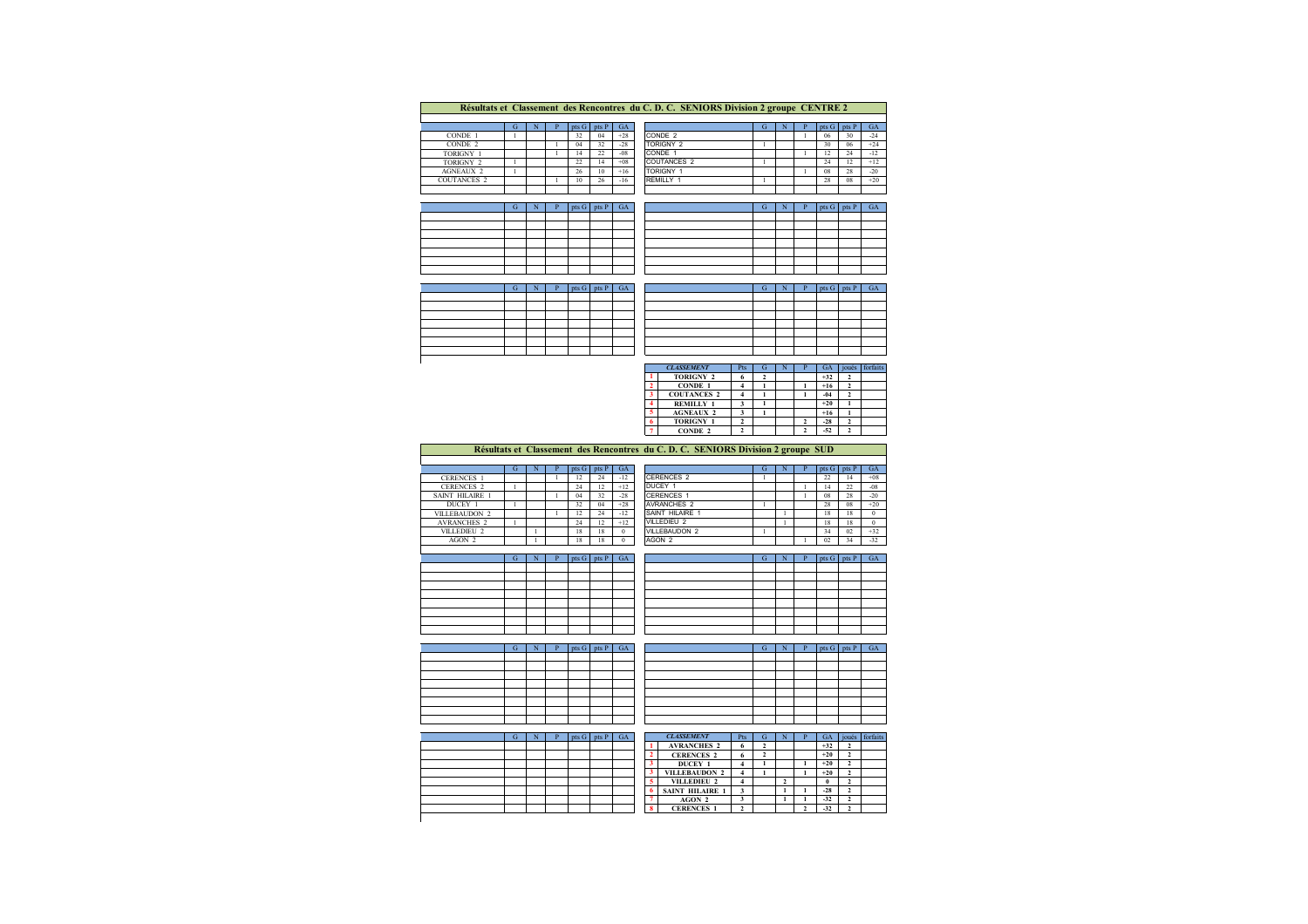|                    | Résultats et Classement des Rencontres du C. D. C. SENIORS Division 2 groupe CENTRE 2 |  |  |       |       |           |                    |   |  |  |       |       |       |  |  |
|--------------------|---------------------------------------------------------------------------------------|--|--|-------|-------|-----------|--------------------|---|--|--|-------|-------|-------|--|--|
|                    |                                                                                       |  |  |       |       |           |                    |   |  |  |       |       |       |  |  |
|                    | G                                                                                     |  |  | pts G | pts P | <b>GA</b> |                    | G |  |  | pts G | pts P | GA    |  |  |
| CONDE 1            |                                                                                       |  |  | 32    | 04    | $+28$     | CONDE <sub>2</sub> |   |  |  | 06    | 30    | $-24$ |  |  |
| CONDE 2            |                                                                                       |  |  | 04    | 32    | $-28$     | <b>TORIGNY 2</b>   |   |  |  | 30    | 06    | $+24$ |  |  |
| TORIGNY 1          |                                                                                       |  |  | 14    | 22    | $-08$     | CONDE 1            |   |  |  | 12    | 24    | $-12$ |  |  |
| TORIGNY 2          |                                                                                       |  |  | 22    | 14    | $+08$     | <b>COUTANCES 2</b> |   |  |  | 24    | 12    | $+12$ |  |  |
| <b>AGNEAUX 2</b>   |                                                                                       |  |  | 26    | 10    | $+16$     | <b>TORIGNY 1</b>   |   |  |  | 08    | 28    | $-20$ |  |  |
| <b>COUTANCES 2</b> |                                                                                       |  |  | 10    | 26    | $-16$     | RFMILLY 1          |   |  |  | 28    | 08    | $+20$ |  |  |
|                    |                                                                                       |  |  |       |       |           |                    |   |  |  |       |       |       |  |  |
|                    |                                                                                       |  |  |       |       |           |                    |   |  |  |       |       |       |  |  |

|  |  | $pts G$ pts $P$ $GA$ |  |  |
|--|--|----------------------|--|--|
|  |  |                      |  |  |
|  |  |                      |  |  |
|  |  |                      |  |  |
|  |  |                      |  |  |
|  |  |                      |  |  |
|  |  |                      |  |  |
|  |  |                      |  |  |

| N | pts G   pts P   GA |  |  | G | ю | $ $ pts G $ $ pts P $ $ | GA |
|---|--------------------|--|--|---|---|-------------------------|----|
|   |                    |  |  |   |   |                         |    |
|   |                    |  |  |   |   |                         |    |
|   |                    |  |  |   |   |                         |    |
|   |                    |  |  |   |   |                         |    |
|   |                    |  |  |   |   |                         |    |
|   |                    |  |  |   |   |                         |    |
|   |                    |  |  |   |   |                         |    |
|   |                    |  |  |   |   |                         |    |

| G. | $N$ $P$ $pts G$ $pts P$ $GA$ |  |  |  |
|----|------------------------------|--|--|--|
|    |                              |  |  |  |
|    |                              |  |  |  |
|    |                              |  |  |  |
|    |                              |  |  |  |
|    |                              |  |  |  |
|    |                              |  |  |  |
|    |                              |  |  |  |

|  | $pts G$ pts $P$ | GA | <b>CONTRACTOR</b> |  | pts G pts P | G A |
|--|-----------------|----|-------------------|--|-------------|-----|
|  |                 |    |                   |  |             |     |
|  |                 |    |                   |  |             |     |
|  |                 |    |                   |  |             |     |
|  |                 |    |                   |  |             |     |
|  |                 |    |                   |  |             |     |
|  |                 |    |                   |  |             |     |
|  |                 |    |                   |  |             |     |

| <b>CLASSEMENT</b>  | Pts |  | GА    | ioués | forfaits |
|--------------------|-----|--|-------|-------|----------|
| <b>TORIGNY 2</b>   |     |  | $+32$ |       |          |
| <b>CONDE 1</b>     |     |  | $+16$ |       |          |
| <b>COUTANCES 2</b> |     |  | $-04$ |       |          |
| <b>REMILLY 1</b>   |     |  | $+20$ |       |          |
| <b>AGNEAUX 2</b>   |     |  | $+16$ |       |          |
| <b>TORIGNY 1</b>   |     |  | $-28$ |       |          |
| <b>CONDE 2</b>     |     |  | $-52$ |       |          |

|                        | Résultats et Classement des Rencontres du C. D. C. SENIORS Division 2 groupe SUD |   |  |     |                 |           |  |                    |   |   |  |       |       |              |  |
|------------------------|----------------------------------------------------------------------------------|---|--|-----|-----------------|-----------|--|--------------------|---|---|--|-------|-------|--------------|--|
|                        |                                                                                  |   |  |     |                 |           |  |                    |   |   |  |       |       |              |  |
|                        | G                                                                                | N |  |     | $pts G$ $pts P$ | <b>GA</b> |  |                    | G | N |  | pts G | pts P | <b>GA</b>    |  |
| <b>CERENCES 1</b>      |                                                                                  |   |  | 12  | 24              | $-12$     |  | <b>CERENCES 2</b>  |   |   |  | 22    | 14    | $+08$        |  |
| <b>CERENCES 2</b>      |                                                                                  |   |  | 24  | 12              | $+12$     |  | DUCEY 1            |   |   |  | 14    | 22    | $-08$        |  |
| <b>SAINT HILAIRE 1</b> |                                                                                  |   |  | 04  | 32              | $-28$     |  | <b>CERENCES 1</b>  |   |   |  | 08    | 28    | $-20$        |  |
| DUCEY 1                |                                                                                  |   |  | 32  | 04              | $+28$     |  | <b>AVRANCHES 2</b> |   |   |  | 28    | 08    | $+20$        |  |
| VILLEBAUDON 2          |                                                                                  |   |  | 12. | 24              | $-12$     |  | SAINT HILAIRE 1    |   |   |  | 18    | 18    | $\mathbf{0}$ |  |
| <b>AVRANCHES 2</b>     |                                                                                  |   |  | 24  | 12              | $+12$     |  | VILLEDIEU 2        |   |   |  | 18    | 18    | $\bf{0}$     |  |
| VILLEDIEU 2            |                                                                                  |   |  | 18  | 18              | $\Omega$  |  | VILLEBAUDON 2      |   |   |  | 34    | 02    | $+32$        |  |
| AGON 2                 |                                                                                  |   |  | 18  | 18              |           |  | AGON 2             |   |   |  | 02    | 34    | $-32$        |  |

 $\Box$ 

|                 |  | 32    | 04    | $+28$ | <b>AVRANCHES 2</b> |   |  | 28      | 08    | $+20$        |
|-----------------|--|-------|-------|-------|--------------------|---|--|---------|-------|--------------|
| ON <sub>2</sub> |  | 12    | 24    | $-12$ | SAINT HILAIRE 1    |   |  | 18      | 18    | $\mathbf{0}$ |
| ES <sub>2</sub> |  | 24    | 12    | $+12$ | <b>VILLEDIEU 2</b> |   |  | 18      | 18    | $\bf{0}$     |
| ET D            |  | 18    | 18    |       | VILLEBAUDON 2      |   |  | 34      | 02    | $+32$        |
| ∠               |  | 18    | 18    |       | AGON 2             |   |  | 02      | 34    | $-32$        |
|                 |  |       |       |       |                    |   |  |         |       |              |
|                 |  | pts G | pts P | GA    |                    | G |  | pts $G$ | pts P | GA           |
|                 |  |       |       |       |                    |   |  |         |       |              |
|                 |  |       |       |       |                    |   |  |         |       |              |
|                 |  |       |       |       |                    |   |  |         |       |              |

|                                              |  |  |  | and the company of the company of the company of the company of the company of the company of the company of the company of the company of the company of the company of the company of the company of the company of the comp |
|----------------------------------------------|--|--|--|--------------------------------------------------------------------------------------------------------------------------------------------------------------------------------------------------------------------------------|
| the control of the control of the control of |  |  |  |                                                                                                                                                                                                                                |
|                                              |  |  |  |                                                                                                                                                                                                                                |
| the contract of the contract of the          |  |  |  | the control of the control of the                                                                                                                                                                                              |
| and the control of the control of            |  |  |  |                                                                                                                                                                                                                                |
|                                              |  |  |  |                                                                                                                                                                                                                                |
|                                              |  |  |  |                                                                                                                                                                                                                                |

| G | N | pts <sub>G</sub> | pts P | GA |  | G | N | $pts G$ pts $P$ | GA |
|---|---|------------------|-------|----|--|---|---|-----------------|----|
|   |   |                  |       |    |  |   |   |                 |    |
|   |   |                  |       |    |  |   |   |                 |    |
|   |   |                  |       |    |  |   |   |                 |    |
|   |   |                  |       |    |  |   |   |                 |    |
|   |   |                  |       |    |  |   |   |                 |    |
|   |   |                  |       |    |  |   |   |                 |    |
|   |   |                  |       |    |  |   |   |                 |    |
|   |   |                  |       |    |  |   |   |                 |    |

 $\mathbf{u}$ 

|  |  | pts G | pts P | <b>GA</b> |           | <b>CLASSEMEN</b> |
|--|--|-------|-------|-----------|-----------|------------------|
|  |  |       |       |           |           | <b>AVRANCH</b>   |
|  |  |       |       |           |           | <b>CERENCI</b>   |
|  |  |       |       |           |           | <b>DUCEY</b>     |
|  |  |       |       |           |           | <b>VILLEBAUI</b> |
|  |  |       |       |           |           | <b>VILLEDIE</b>  |
|  |  |       |       |           |           | SAINT HILA       |
|  |  |       |       |           |           | <b>AGON</b>      |
|  |  |       |       |           | $\bullet$ | <b>CERENCI</b>   |

| N | pts G pts P | GА | <b>CLASSEMENT</b>      | Pts | G | Þ | GA    | joués | forfaits |
|---|-------------|----|------------------------|-----|---|---|-------|-------|----------|
|   |             |    | <b>AVRANCHES 2</b>     | 6   | ı |   | $+32$ | 2     |          |
|   |             |    | <b>CERENCES 2</b>      | 6   | ÷ |   | $+20$ |       |          |
|   |             |    | DUCEY 1                | 4   |   |   | $+20$ | 2     |          |
|   |             |    | <b>VILLEBAUDON 2</b>   |     |   |   | $+20$ |       |          |
|   |             |    | VILLEDIEU 2            |     |   | ∸ | 0     | ٠     |          |
|   |             |    | <b>SAINT HILAIRE 1</b> | 3   |   |   | $-28$ |       |          |
|   |             |    | AGON 2                 |     |   |   | $-32$ |       |          |
|   |             |    | <b>CERENCES 1</b>      |     |   |   | $-32$ |       |          |
|   |             |    |                        |     |   |   |       |       |          |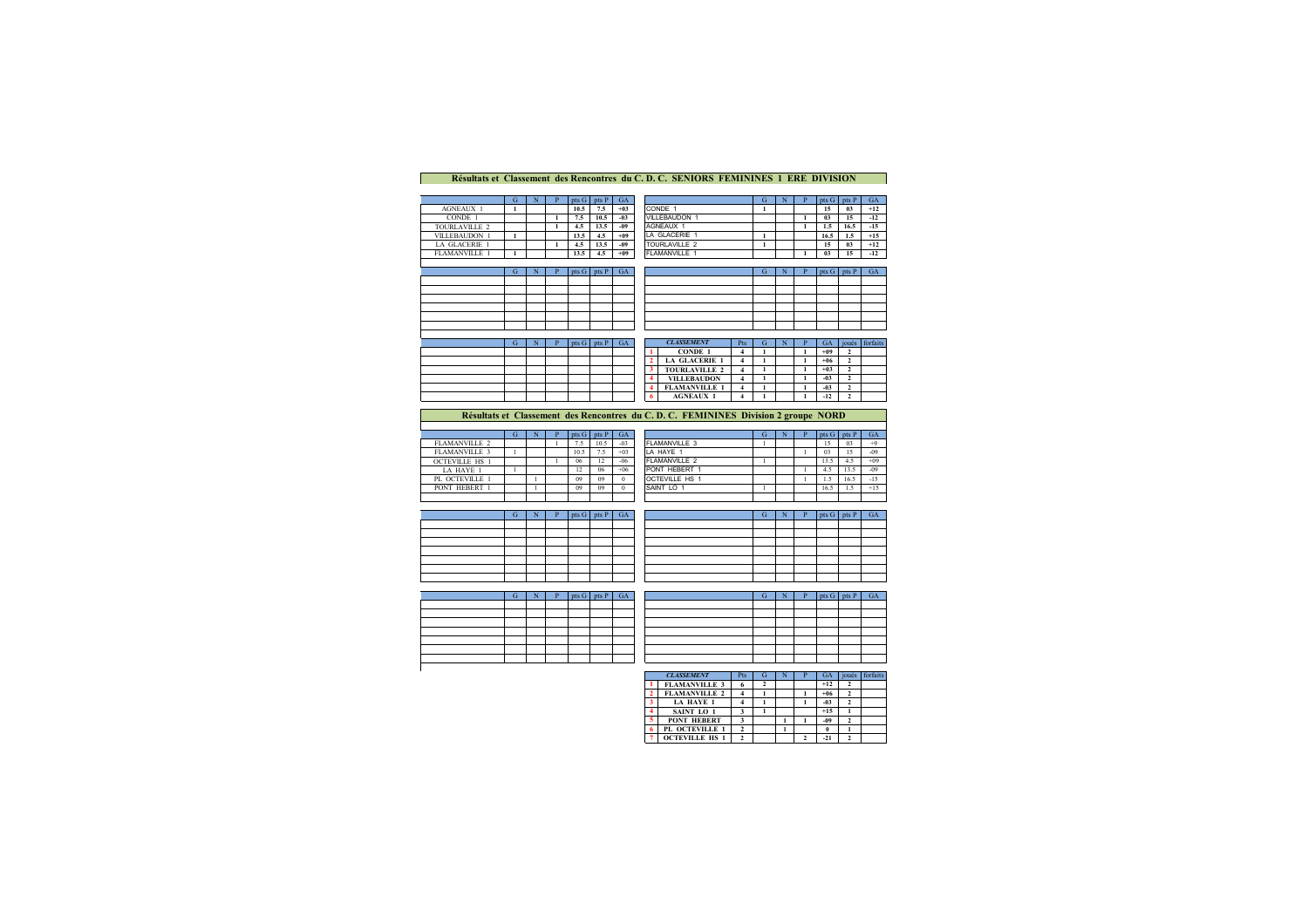## **Résultats et Classement des Rencontres du C. D. C. SENIORS FEMININES 1 ERE DIVISION**

|                      | G | N | pts G            | pts P | <b>GA</b> |               | G | N | pts <sub>G</sub> | pts P | GA    |
|----------------------|---|---|------------------|-------|-----------|---------------|---|---|------------------|-------|-------|
| <b>AGNEAUX 1</b>     |   |   | 10.5             | 7.5   | $+0.3$    | CONDE 1       |   |   | 15               | 03    | $+12$ |
| CONDE 1              |   |   | 7.5              | 10.5  | $-03$     | VILLEBAUDON 1 |   |   | 03               | 15    | $-12$ |
| TOURLAVILLE 2        |   |   | 4.5              | 13.5  | $-09$     | AGNEAUX 1     |   |   | 1.5              | 16.5  | $-15$ |
| <b>VILLEBAUDON 1</b> |   |   | 13.5             | 4.5   | $+09$     | LA GLACERIE 1 |   |   | 16.5             | 1.5   | $+15$ |
| LA GLACERIE 1        |   |   | 4.5              | 13.5  | $-09$     | TOURLAVILLE 2 |   |   | 15               | 03    | $+12$ |
| <b>FLAMANVILLE 1</b> |   |   | 13.5             | 4.5   | $+09$     | FLAMANVILLE * |   |   | 03               | 15    | $-12$ |
|                      |   |   |                  |       |           |               |   |   |                  |       |       |
|                      | G |   | pts <sub>G</sub> | pts P | <b>GA</b> |               | G | N | pts <sub>G</sub> | pts P | GA    |
|                      |   |   |                  |       |           |               |   |   |                  |       |       |
|                      |   |   |                  |       |           |               |   |   |                  |       |       |

|  | P | $pts G$ pts $P$ GA |  |  |
|--|---|--------------------|--|--|
|  |   |                    |  |  |
|  |   |                    |  |  |
|  |   |                    |  |  |
|  |   |                    |  |  |
|  |   |                    |  |  |
|  |   |                    |  |  |

|  | pts G | <b>nts</b> | GА | <b>CLASSEMENT</b>    | Pts | G |  | GA     | joués | forfaits |
|--|-------|------------|----|----------------------|-----|---|--|--------|-------|----------|
|  |       |            |    | <b>CONDE 1</b>       |     |   |  | $+09$  |       |          |
|  |       |            |    | <b>LA GLACERIE 1</b> |     |   |  | $+06$  |       |          |
|  |       |            |    | <b>TOURLAVILLE 2</b> |     |   |  | $+0.3$ |       |          |
|  |       |            |    | <b>VILLEBAUDON</b>   |     |   |  | $-0.3$ |       |          |
|  |       |            |    | <b>FLAMANVILLE 1</b> |     |   |  | $-03$  |       |          |
|  |       |            |    | <b>AGNEAUX 1</b>     |     |   |  | $-12$  |       |          |
|  |       |            |    |                      |     |   |  |        |       |          |

## **Résultats et Classement des Rencontres du C. D. C. FEMININES Division 2 groupe NORD**

|                       | N | $pts G$   $pts P$ |      | <b>GA</b> |                          | Ğ | N | $p$ ts G | pts P | <b>GA</b> |
|-----------------------|---|-------------------|------|-----------|--------------------------|---|---|----------|-------|-----------|
| FLAMANVILLE 2         |   | 7.5               | 10.5 | $-03$     | FLAMANVILLE 3            |   |   | 15       | 03    | $+9$      |
| FLAMANVILLE 3         |   | 10.5              | 7.5  | $+03$     | LA HAYE 1                |   |   | 03       | 15    | $-09$     |
| <b>OCTEVILLE HS 1</b> |   | 06                | 12   | $-06$     | FLAMANVILLE <sub>2</sub> |   |   | 13.5     | 4.5   | $+09$     |
| LA HAYE 1             |   | 12                | 06   | $+06$     | PONT HEBERT 1            |   |   | 4.5      | 13.5  | $-09$     |
| PL OCTEVILLE 1        |   | 09                | 09   | $\Omega$  | <b>OCTEVILLE HS 1</b>    |   |   | 1.5      | 16.5  | $-15$     |
| PONT HEBERT 1         |   | 09                | 09   |           | SAINT LO 1               |   |   | 16.5     | 1.5   | $+15$     |
|                       |   |                   |      |           |                          |   |   |          |       |           |
|                       |   |                   |      |           |                          |   |   |          |       |           |

|   |  | <b>U<sub>2</sub></b> | U.  |    | JULIEVILLE NO I |  | 1.5       | 10.2 | $-12$ |
|---|--|----------------------|-----|----|-----------------|--|-----------|------|-------|
|   |  | 09                   | 09  |    | SAINT LO 1      |  | 16.5      | 1.5  | $+15$ |
|   |  |                      |     |    |                 |  |           |      |       |
|   |  |                      |     |    |                 |  |           |      |       |
| σ |  | pts <sub>G</sub>     | pts | GA |                 |  | pts<br>-G |      | GA    |
|   |  |                      |     |    |                 |  |           |      |       |
|   |  |                      |     |    |                 |  |           |      |       |
|   |  |                      |     |    |                 |  |           |      |       |
|   |  |                      |     |    |                 |  |           |      |       |

| - 1 | N | $pts G$ pts $P$ $GA$ |  |
|-----|---|----------------------|--|
|     |   |                      |  |
|     |   |                      |  |
|     |   |                      |  |
|     |   |                      |  |
|     |   |                      |  |
|     |   |                      |  |
|     |   |                      |  |

|   | <b>CLASSEMENT</b>     | Pts | œ |  | <b>GA</b> | ioués | forfaits |
|---|-----------------------|-----|---|--|-----------|-------|----------|
|   | <b>FLAMANVILLE 3</b>  |     |   |  | $+12$     |       |          |
|   | <b>FLAMANVILLE 2</b>  |     |   |  | $+06$     |       |          |
| 3 | LA HAYE 1             |     |   |  | $-03$     |       |          |
|   | SAINT LO <sub>1</sub> |     |   |  | $+15$     |       |          |
| 5 | <b>PONT HEBERT</b>    |     |   |  | $-09$     |       |          |
| 6 | PL OCTEVILLE 1        |     |   |  | $\theta$  |       |          |
|   | <b>OCTEVILLE HS 1</b> |     |   |  | $-21$     |       |          |